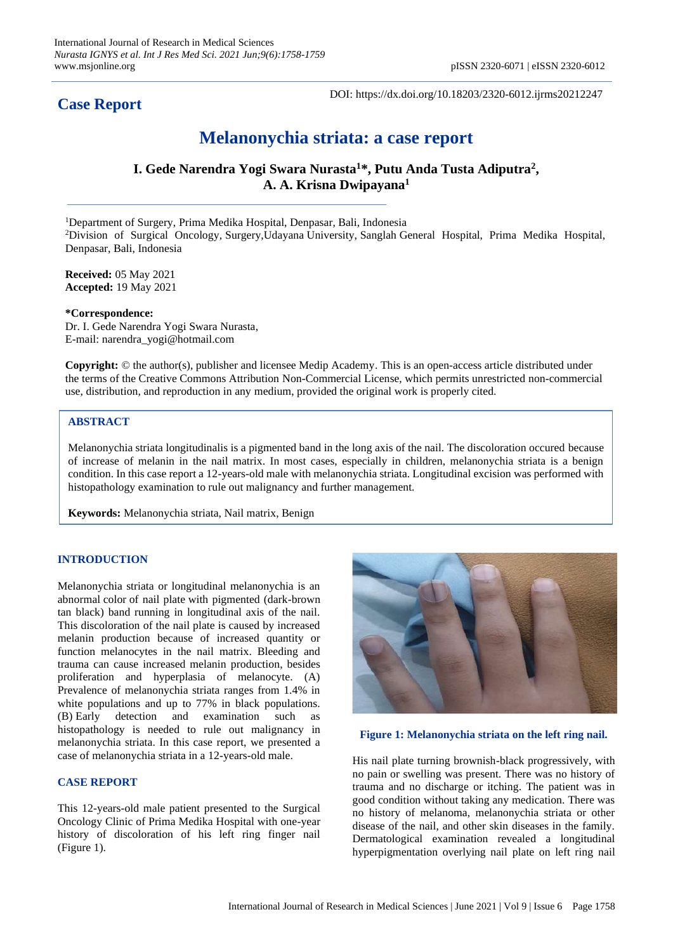# **Case Report**

DOI: https://dx.doi.org/10.18203/2320-6012.ijrms20212247

# **Melanonychia striata: a case report**

## **I. Gede Narendra Yogi Swara Nurasta<sup>1</sup>\*, Putu Anda Tusta Adiputra<sup>2</sup> , A. A. Krisna Dwipayana<sup>1</sup>**

<sup>1</sup>Department of Surgery, Prima Medika Hospital, Denpasar, Bali, Indonesia <sup>2</sup>Division of Surgical Oncology, Surgery,Udayana University, Sanglah General Hospital, Prima Medika Hospital, Denpasar, Bali, Indonesia

**Received:** 05 May 2021 **Accepted:** 19 May 2021

#### **\*Correspondence:**

Dr. I. Gede Narendra Yogi Swara Nurasta, E-mail: narendra\_yogi@hotmail.com

**Copyright:** © the author(s), publisher and licensee Medip Academy. This is an open-access article distributed under the terms of the Creative Commons Attribution Non-Commercial License, which permits unrestricted non-commercial use, distribution, and reproduction in any medium, provided the original work is properly cited.

## **ABSTRACT**

Melanonychia striata longitudinalis is a pigmented band in the long axis of the nail. The discoloration occured because of increase of melanin in the nail matrix. In most cases, especially in children, melanonychia striata is a benign condition. In this case report a 12-years-old male with melanonychia striata. Longitudinal excision was performed with histopathology examination to rule out malignancy and further management.

**Keywords:** Melanonychia striata, Nail matrix, Benign

## **INTRODUCTION**

Melanonychia striata or longitudinal melanonychia is an abnormal color of nail plate with pigmented (dark-brown tan black) band running in longitudinal axis of the nail. This discoloration of the nail plate is caused by increased melanin production because of increased quantity or function melanocytes in the nail matrix. Bleeding and trauma can cause increased melanin production, besides proliferation and hyperplasia of melanocyte. (A) Prevalence of melanonychia striata ranges from 1.4% in white populations and up to 77% in black populations. (B) Early detection and examination such as histopathology is needed to rule out malignancy in melanonychia striata. In this case report, we presented a case of melanonychia striata in a 12-years-old male.

#### **CASE REPORT**

This 12-years-old male patient presented to the Surgical Oncology Clinic of Prima Medika Hospital with one-year history of discoloration of his left ring finger nail (Figure 1).



## **Figure 1: Melanonychia striata on the left ring nail.**

His nail plate turning brownish-black progressively, with no pain or swelling was present. There was no history of trauma and no discharge or itching. The patient was in good condition without taking any medication. There was no history of melanoma, melanonychia striata or other disease of the nail, and other skin diseases in the family. Dermatological examination revealed a longitudinal hyperpigmentation overlying nail plate on left ring nail